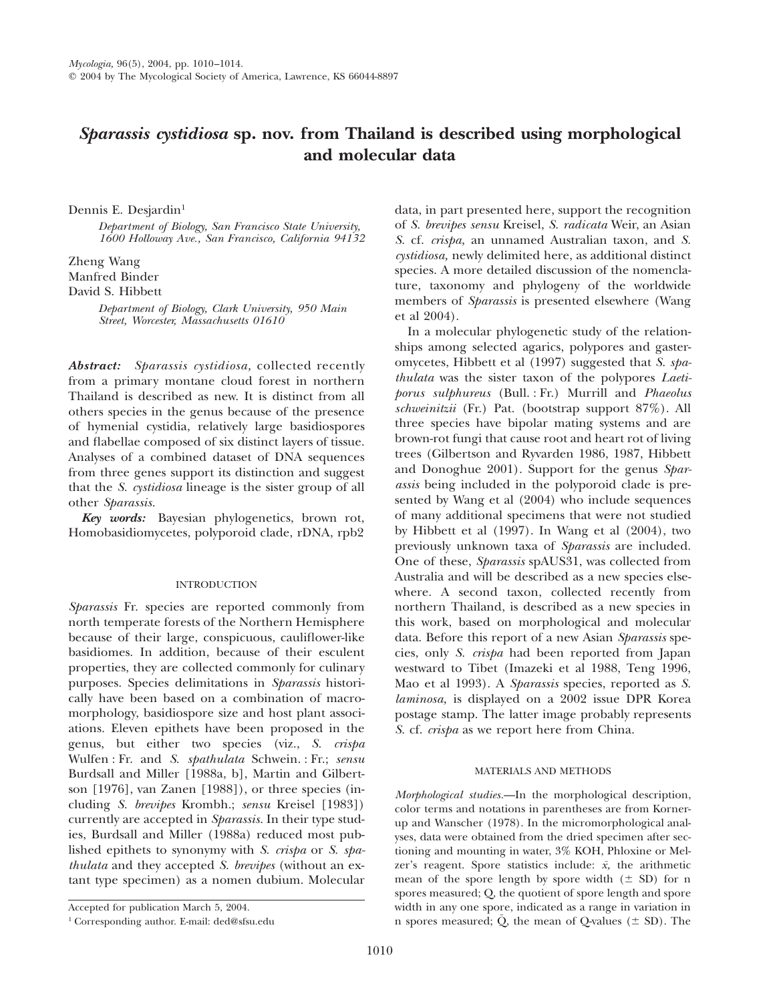# *Sparassis cystidiosa* **sp. nov. from Thailand is described using morphological and molecular data**

Dennis E. Desjardin<sup>1</sup>

*Department of Biology, San Francisco State University, 1600 Holloway Ave., San Francisco, California 94132*

Zheng Wang Manfred Binder David S. Hibbett

> *Department of Biology, Clark University, 950 Main Street, Worcester, Massachusetts 01610*

*Abstract: Sparassis cystidiosa,* collected recently from a primary montane cloud forest in northern Thailand is described as new. It is distinct from all others species in the genus because of the presence of hymenial cystidia, relatively large basidiospores and flabellae composed of six distinct layers of tissue. Analyses of a combined dataset of DNA sequences from three genes support its distinction and suggest that the *S. cystidiosa* lineage is the sister group of all other *Sparassis.*

*Key words:* Bayesian phylogenetics, brown rot, Homobasidiomycetes, polyporoid clade, rDNA, rpb2

# INTRODUCTION

*Sparassis* Fr. species are reported commonly from north temperate forests of the Northern Hemisphere because of their large, conspicuous, cauliflower-like basidiomes. In addition, because of their esculent properties, they are collected commonly for culinary purposes. Species delimitations in *Sparassis* historically have been based on a combination of macromorphology, basidiospore size and host plant associations. Eleven epithets have been proposed in the genus, but either two species (viz., *S. crispa* Wulfen : Fr. and *S. spathulata* Schwein. : Fr.; *sensu* Burdsall and Miller [1988a, b], Martin and Gilbertson [1976], van Zanen [1988]), or three species (including *S. brevipes* Krombh.; *sensu* Kreisel [1983]) currently are accepted in *Sparassis.* In their type studies, Burdsall and Miller (1988a) reduced most published epithets to synonymy with *S. crispa* or *S. spathulata* and they accepted *S. brevipes* (without an extant type specimen) as a nomen dubium. Molecular data, in part presented here, support the recognition of *S. brevipes sensu* Kreisel, *S. radicata* Weir, an Asian *S.* cf. *crispa,* an unnamed Australian taxon, and *S. cystidiosa,* newly delimited here, as additional distinct species. A more detailed discussion of the nomenclature, taxonomy and phylogeny of the worldwide members of *Sparassis* is presented elsewhere (Wang et al 2004).

In a molecular phylogenetic study of the relationships among selected agarics, polypores and gasteromycetes, Hibbett et al (1997) suggested that *S. spathulata* was the sister taxon of the polypores *Laetiporus sulphureus* (Bull. : Fr.) Murrill and *Phaeolus schweinitzii* (Fr.) Pat. (bootstrap support 87%). All three species have bipolar mating systems and are brown-rot fungi that cause root and heart rot of living trees (Gilbertson and Ryvarden 1986, 1987, Hibbett and Donoghue 2001). Support for the genus *Sparassis* being included in the polyporoid clade is presented by Wang et al (2004) who include sequences of many additional specimens that were not studied by Hibbett et al (1997). In Wang et al (2004), two previously unknown taxa of *Sparassis* are included. One of these, *Sparassis* spAUS31, was collected from Australia and will be described as a new species elsewhere. A second taxon, collected recently from northern Thailand, is described as a new species in this work, based on morphological and molecular data. Before this report of a new Asian *Sparassis* species, only *S. crispa* had been reported from Japan westward to Tibet (Imazeki et al 1988, Teng 1996, Mao et al 1993). A *Sparassis* species, reported as *S. laminosa,* is displayed on a 2002 issue DPR Korea postage stamp. The latter image probably represents *S.* cf. *crispa* as we report here from China.

# MATERIALS AND METHODS

*Morphological studies.*—In the morphological description, color terms and notations in parentheses are from Kornerup and Wanscher (1978). In the micromorphological analyses, data were obtained from the dried specimen after sectioning and mounting in water, 3% KOH, Phloxine or Melzer's reagent. Spore statistics include:  $\bar{x}$ , the arithmetic mean of the spore length by spore width  $(\pm SD)$  for n spores measured; Q, the quotient of spore length and spore width in any one spore, indicated as a range in variation in n spores measured; Q, the mean of Q-values ( $\pm$  SD). The

Accepted for publication March 5, 2004.

<sup>1</sup> Corresponding author. E-mail: ded@sfsu.edu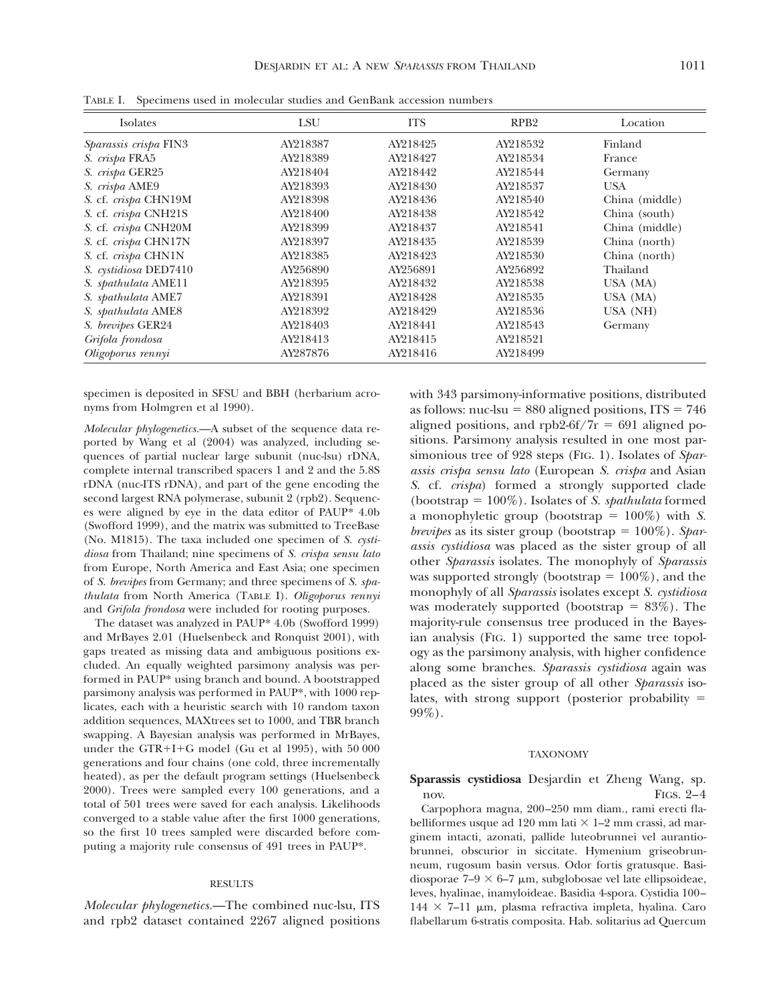| TABLE I. Specimens used in molecular studies and GenBank accession numbers |          |      |  |                  |          |  |  |  |  |
|----------------------------------------------------------------------------|----------|------|--|------------------|----------|--|--|--|--|
|                                                                            | Isolates | í St |  | RPB <sub>2</sub> | Location |  |  |  |  |

| Isolates              | <b>LSU</b> | <b>ITS</b> | RPB <sub>2</sub> | Location       |
|-----------------------|------------|------------|------------------|----------------|
| Sparassis crispa FIN3 | AY218387   | AY218425   | AY218532         | Finland        |
| S. crispa FRA5        | AY218389   | AY218427   | AY218534         | France         |
| S. crispa GER25       | AY218404   | AY218442   | AY218544         | Germany        |
| S. crispa AME9        | AY218393   | AY218430   | AY218537         | <b>USA</b>     |
| S. cf. crispa CHN19M  | AY218398   | AY218436   | AY218540         | China (middle) |
| S. cf. crispa CNH21S  | AY218400   | AY218438   | AY218542         | China (south)  |
| S. cf. crispa CNH20M  | AY218399   | AY218437   | AY218541         | China (middle) |
| S. cf. crispa CHN17N  | AY218397   | AY218435   | AY218539         | China (north)  |
| S. cf. crispa CHN1N   | AY218385   | AY218423   | AY218530         | China (north)  |
| S. cystidiosa DED7410 | AY256890   | AY256891   | AY256892         | Thailand       |
| S. spathulata AME11   | AY218395   | AY218432   | AY218538         | USA (MA)       |
| S. spathulata AME7    | AY218391   | AY218428   | AY218535         | USA (MA)       |
| S. spathulata AME8    | AY218392   | AY218429   | AY218536         | USA (NH)       |
| S. brevipes GER24     | AY218403   | AY218441   | AY218543         | Germany        |
| Grifola frondosa      | AY218413   | AY218415   | AY218521         |                |
| Oligoporus rennyi     | AY287876   | AY218416   | AY218499         |                |

specimen is deposited in SFSU and BBH (herbarium acronyms from Holmgren et al 1990).

*Molecular phylogenetics.*—A subset of the sequence data reported by Wang et al (2004) was analyzed, including sequences of partial nuclear large subunit (nuc-lsu) rDNA, complete internal transcribed spacers 1 and 2 and the 5.8S rDNA (nuc-ITS rDNA), and part of the gene encoding the second largest RNA polymerase, subunit 2 (rpb2). Sequences were aligned by eye in the data editor of PAUP\* 4.0b (Swofford 1999), and the matrix was submitted to TreeBase (No. M1815). The taxa included one specimen of *S. cystidiosa* from Thailand; nine specimens of *S. crispa sensu lato* from Europe, North America and East Asia; one specimen of *S. brevipes* from Germany; and three specimens of *S. spathulata* from North America (TABLE I). *Oligoporus rennyi* and *Grifola frondosa* were included for rooting purposes.

The dataset was analyzed in PAUP\* 4.0b (Swofford 1999) and MrBayes 2.01 (Huelsenbeck and Ronquist 2001), with gaps treated as missing data and ambiguous positions excluded. An equally weighted parsimony analysis was performed in PAUP\* using branch and bound. A bootstrapped parsimony analysis was performed in PAUP\*, with 1000 replicates, each with a heuristic search with 10 random taxon addition sequences, MAXtrees set to 1000, and TBR branch swapping. A Bayesian analysis was performed in MrBayes, under the GTR+I+G model (Gu et al 1995), with  $50000$ generations and four chains (one cold, three incrementally heated), as per the default program settings (Huelsenbeck 2000). Trees were sampled every 100 generations, and a total of 501 trees were saved for each analysis. Likelihoods converged to a stable value after the first 1000 generations, so the first 10 trees sampled were discarded before computing a majority rule consensus of 491 trees in PAUP\*.

#### RESULTS

*Molecular phylogenetics.*—The combined nuc-lsu, ITS and rpb2 dataset contained 2267 aligned positions with 343 parsimony-informative positions, distributed as follows: nuc-lsu  $= 880$  aligned positions,  $ITS = 746$ aligned positions, and rpb2-6f/7 $r = 691$  aligned positions. Parsimony analysis resulted in one most parsimonious tree of 928 steps (FIG. 1). Isolates of *Sparassis crispa sensu lato* (European *S. crispa* and Asian *S.* cf. *crispa*) formed a strongly supported clade (bootstrap  $= 100\%$ ). Isolates of *S. spathulata* formed a monophyletic group (bootstrap  $= 100\%$ ) with *S*. *brevipes* as its sister group (bootstrap  $= 100\%$ ). *Sparassis cystidiosa* was placed as the sister group of all other *Sparassis* isolates. The monophyly of *Sparassis* was supported strongly (bootstrap  $= 100\%$ ), and the monophyly of all *Sparassis* isolates except *S. cystidiosa* was moderately supported (bootstrap  $= 83\%$ ). The majority-rule consensus tree produced in the Bayesian analysis (FIG. 1) supported the same tree topology as the parsimony analysis, with higher confidence along some branches. *Sparassis cystidiosa* again was placed as the sister group of all other *Sparassis* isolates, with strong support (posterior probability  $=$ 99%).

#### TAXONOMY

# **Sparassis cystidiosa** Desjardin et Zheng Wang, sp. FIGS.  $2-4$

Carpophora magna, 200–250 mm diam., rami erecti flabelliformes usque ad 120 mm lati  $\times$  1–2 mm crassi, ad marginem intacti, azonati, pallide luteobrunnei vel aurantiobrunnei, obscurior in siccitate. Hymenium griseobrunneum, rugosum basin versus. Odor fortis gratusque. Basidiosporae  $7-9 \times 6-7 \mu m$ , subglobosae vel late ellipsoideae, leves, hyalinae, inamyloideae. Basidia 4-spora. Cystidia 100–  $144 \times 7$ –11 µm, plasma refractiva impleta, hyalina. Caro flabellarum 6-stratis composita. Hab. solitarius ad Quercum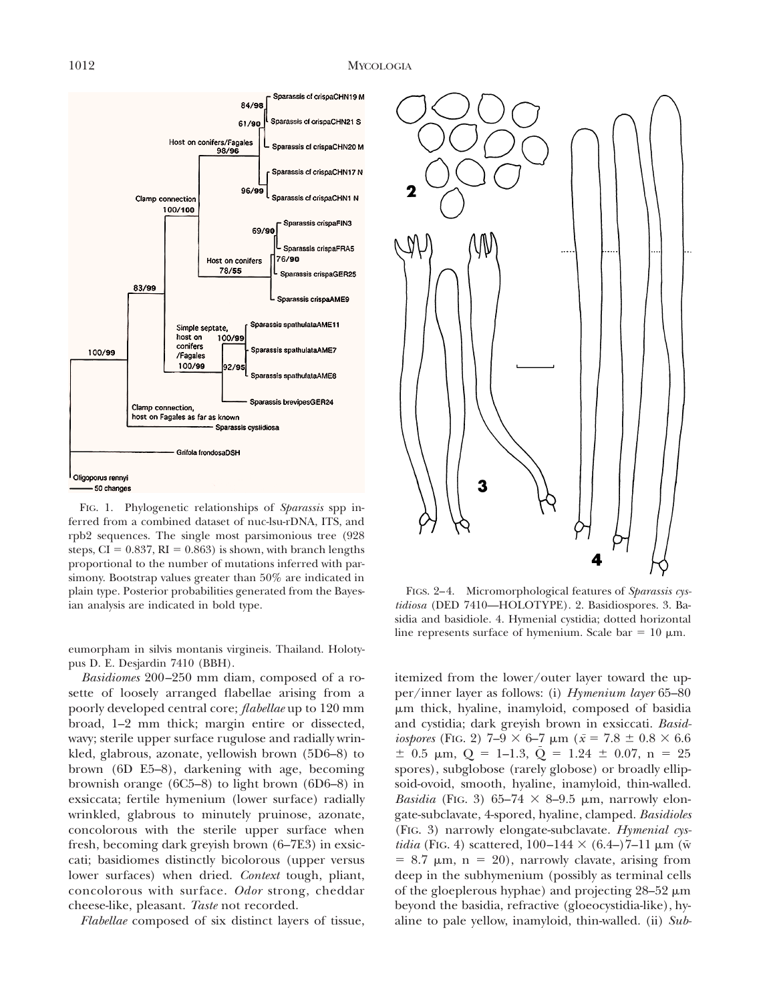

FIG. 1. Phylogenetic relationships of *Sparassis* spp inferred from a combined dataset of nuc-lsu-rDNA, ITS, and rpb2 sequences. The single most parsimonious tree (928 steps,  $CI = 0.837$ ,  $RI = 0.863$ ) is shown, with branch lengths proportional to the number of mutations inferred with parsimony. Bootstrap values greater than 50% are indicated in plain type. Posterior probabilities generated from the Bayesian analysis are indicated in bold type.

eumorpham in silvis montanis virgineis. Thailand. Holotypus D. E. Desjardin 7410 (BBH).

*Basidiomes* 200–250 mm diam, composed of a rosette of loosely arranged flabellae arising from a poorly developed central core; *flabellae* up to 120 mm broad, 1–2 mm thick; margin entire or dissected, wavy; sterile upper surface rugulose and radially wrinkled, glabrous, azonate, yellowish brown (5D6–8) to brown (6D E5–8), darkening with age, becoming brownish orange (6C5–8) to light brown (6D6–8) in exsiccata; fertile hymenium (lower surface) radially wrinkled, glabrous to minutely pruinose, azonate, concolorous with the sterile upper surface when fresh, becoming dark greyish brown (6–7E3) in exsiccati; basidiomes distinctly bicolorous (upper versus lower surfaces) when dried. *Context* tough, pliant, concolorous with surface. *Odor* strong, cheddar cheese-like, pleasant. *Taste* not recorded.

*Flabellae* composed of six distinct layers of tissue,



FIGS. 2–4. Micromorphological features of *Sparassis cystidiosa* (DED 7410—HOLOTY PE). 2. Basidiospores. 3. Basidia and basidiole. 4. Hymenial cystidia; dotted horizontal line represents surface of hymenium. Scale bar  $= 10 \mu m$ .

itemized from the lower/outer layer toward the upper/inner layer as follows: (i) *Hymenium layer* 65–80 um thick, hyaline, inamyloid, composed of basidia and cystidia; dark greyish brown in exsiccati. *Basidiospores* (FIG. 2)  $7-9 \times 6-7 \mu m$  ( $\bar{x} = 7.8 \pm 0.8 \times 6.6$  $\pm$  0.5  $\mu$ m, Q = 1–1.3, Q = 1.24  $\pm$  0.07, n = 25 spores), subglobose (rarely globose) or broadly ellipsoid-ovoid, smooth, hyaline, inamyloid, thin-walled. *Basidia* (FIG. 3) 65–74  $\times$  8–9.5  $\mu$ m, narrowly elongate-subclavate, 4-spored, hyaline, clamped. *Basidioles* (FIG. 3) narrowly elongate-subclavate. *Hymenial cystidia* (FIG. 4) scattered,  $100-144 \times (6.4-)7-11 \mu m$  (w  $= 8.7 \mu m$ , n  $= 20$ ), narrowly clavate, arising from deep in the subhymenium (possibly as terminal cells of the gloeplerous hyphae) and projecting  $28-52 \mu m$ beyond the basidia, refractive (gloeocystidia-like), hyaline to pale yellow, inamyloid, thin-walled. (ii) *Sub-*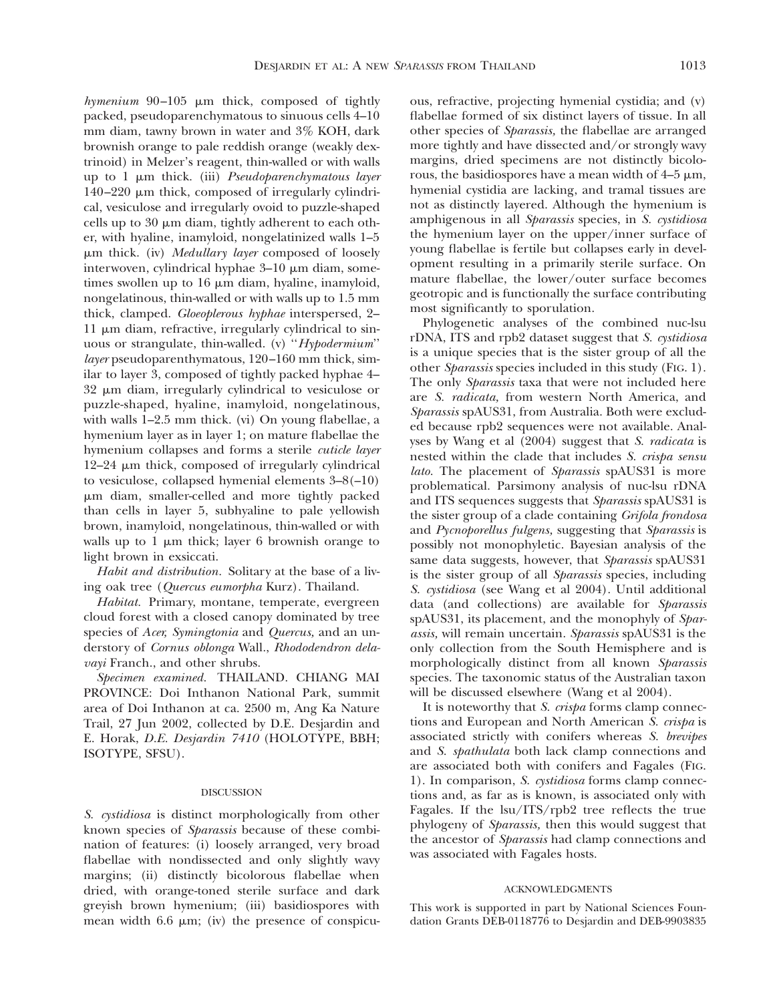$hymenium$  90–105  $\mu$ m thick, composed of tightly packed, pseudoparenchymatous to sinuous cells 4–10 mm diam, tawny brown in water and 3% KOH, dark brownish orange to pale reddish orange (weakly dextrinoid) in Melzer's reagent, thin-walled or with walls up to 1 %m thick. (iii) *Pseudoparenchymatous layer*  $140-220 \mu m$  thick, composed of irregularly cylindrical, vesiculose and irregularly ovoid to puzzle-shaped cells up to 30  $\mu$ m diam, tightly adherent to each other, with hyaline, inamyloid, nongelatinized walls 1–5 μm thick. (iv) *Medullary layer* composed of loosely interwoven, cylindrical hyphae  $3-10 \mu m$  diam, sometimes swollen up to  $16 \mu m$  diam, hyaline, inamyloid, nongelatinous, thin-walled or with walls up to 1.5 mm thick, clamped. *Gloeoplerous hyphae* interspersed, 2–  $11 \mu m$  diam, refractive, irregularly cylindrical to sinuous or strangulate, thin-walled. (v) ''*Hypodermium*'' *layer* pseudoparenthymatous, 120–160 mm thick, similar to layer 3, composed of tightly packed hyphae 4–  $32 \mu m$  diam, irregularly cylindrical to vesiculose or puzzle-shaped, hyaline, inamyloid, nongelatinous, with walls 1–2.5 mm thick. (vi) On young flabellae, a hymenium layer as in layer 1; on mature flabellae the hymenium collapses and forms a sterile *cuticle layer*  $12-24 \mu m$  thick, composed of irregularly cylindrical to vesiculose, collapsed hymenial elements 3–8(–10)  $\mu$ m diam, smaller-celled and more tightly packed than cells in layer 5, subhyaline to pale yellowish brown, inamyloid, nongelatinous, thin-walled or with walls up to  $1 \mu m$  thick; layer 6 brownish orange to light brown in exsiccati.

*Habit and distribution.* Solitary at the base of a living oak tree (*Quercus eumorpha* Kurz). Thailand.

*Habitat.* Primary, montane, temperate, evergreen cloud forest with a closed canopy dominated by tree species of *Acer, Symingtonia* and *Quercus,* and an understory of *Cornus oblonga* Wall., *Rhododendron delavayi* Franch., and other shrubs.

*Specimen examined.* THAILAND. CHIANG MAI PROVINCE: Doi Inthanon National Park, summit area of Doi Inthanon at ca. 2500 m, Ang Ka Nature Trail, 27 Jun 2002, collected by D.E. Desjardin and E. Horak, *D.E. Desjardin 7410* (HOLOTY PE, BBH; ISOTY PE, SFSU).

# DISCUSSION

*S. cystidiosa* is distinct morphologically from other known species of *Sparassis* because of these combination of features: (i) loosely arranged, very broad flabellae with nondissected and only slightly wavy margins; (ii) distinctly bicolorous flabellae when dried, with orange-toned sterile surface and dark greyish brown hymenium; (iii) basidiospores with mean width 6.6  $\mu$ m; (iv) the presence of conspicuous, refractive, projecting hymenial cystidia; and (v) flabellae formed of six distinct layers of tissue. In all other species of *Sparassis,* the flabellae are arranged more tightly and have dissected and/or strongly wavy margins, dried specimens are not distinctly bicolorous, the basidiospores have a mean width of  $4-5 \mu m$ , hymenial cystidia are lacking, and tramal tissues are not as distinctly layered. Although the hymenium is amphigenous in all *Sparassis* species, in *S. cystidiosa* the hymenium layer on the upper/inner surface of young flabellae is fertile but collapses early in development resulting in a primarily sterile surface. On mature flabellae, the lower/outer surface becomes geotropic and is functionally the surface contributing most significantly to sporulation.

Phylogenetic analyses of the combined nuc-lsu rDNA, ITS and rpb2 dataset suggest that *S. cystidiosa* is a unique species that is the sister group of all the other *Sparassis* species included in this study (FIG. 1). The only *Sparassis* taxa that were not included here are *S. radicata,* from western North America, and *Sparassis* spAUS31, from Australia. Both were excluded because rpb2 sequences were not available. Analyses by Wang et al (2004) suggest that *S. radicata* is nested within the clade that includes *S. crispa sensu lato.* The placement of *Sparassis* spAUS31 is more problematical. Parsimony analysis of nuc-lsu rDNA and ITS sequences suggests that *Sparassis* spAUS31 is the sister group of a clade containing *Grifola frondosa* and *Pycnoporellus fulgens,* suggesting that *Sparassis* is possibly not monophyletic. Bayesian analysis of the same data suggests, however, that *Sparassis* spAUS31 is the sister group of all *Sparassis* species, including *S. cystidiosa* (see Wang et al 2004). Until additional data (and collections) are available for *Sparassis* spAUS31, its placement, and the monophyly of *Sparassis,* will remain uncertain. *Sparassis* spAUS31 is the only collection from the South Hemisphere and is morphologically distinct from all known *Sparassis* species. The taxonomic status of the Australian taxon will be discussed elsewhere (Wang et al 2004).

It is noteworthy that *S. crispa* forms clamp connections and European and North American *S. crispa* is associated strictly with conifers whereas *S. brevipes* and *S. spathulata* both lack clamp connections and are associated both with conifers and Fagales (FIG. 1). In comparison, *S. cystidiosa* forms clamp connections and, as far as is known, is associated only with Fagales. If the lsu/ITS/rpb2 tree reflects the true phylogeny of *Sparassis,* then this would suggest that the ancestor of *Sparassis* had clamp connections and was associated with Fagales hosts.

### ACKNOWLEDGMENTS

This work is supported in part by National Sciences Foundation Grants DEB-0118776 to Desjardin and DEB-9903835